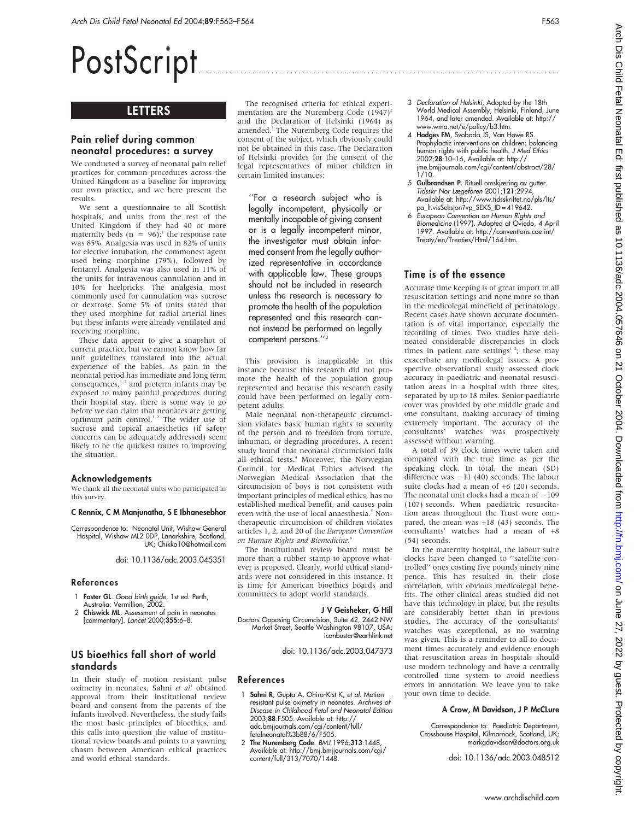# PostScript ..............................................................................................

## **LETTERS**

### Pain relief during common neonatal procedures: a survey

We conducted a survey of neonatal pain relief practices for common procedures across the United Kingdom as a baseline for improving our own practice, and we here present the results.

We sent a questionnaire to all Scottish hospitals, and units from the rest of the United Kingdom if they had 40 or more maternity beds ( $n = 96$ );<sup>1</sup> the response rate was 85%. Analgesia was used in 82% of units for elective intubation, the commonest agent used being morphine (79%), followed by fentanyl. Analgesia was also used in 11% of the units for intravenous cannulation and in 10% for heelpricks. The analgesia most commonly used for cannulation was sucrose or dextrose. Some 5% of units stated that they used morphine for radial arterial lines but these infants were already ventilated and receiving morphine.

These data appear to give a snapshot of current practice, but we cannot know how far unit guidelines translated into the actual experience of the babies. As pain in the neonatal period has immediate and long term consequences, $12$  and preterm infants may be exposed to many painful procedures during their hospital stay, there is some way to go before we can claim that neonates are getting optimum pain control.<sup>12</sup> The wider use of sucrose and topical anaesthetics (if safety concerns can be adequately addressed) seem likely to be the quickest routes to improving the situation.

## Acknowledgements

We thank all the neonatal units who participated in this survey.

#### C Rennix, C M Manjunatha, S E Ibhanesebhor

Correspondence to: Neonatal Unit, Wishaw General Hospital, Wishaw ML2 0DP, Lanarkshire, Scotland, UK; Chikka10@hotmail.com

doi: 10.1136/adc.2003.045351

#### References

1 Foster GL. Good birth guide, 1st ed. Perth, Australia: Vermillion, 2002.

2 Chiswick ML. Assessment of pain in neonates [commentary]. Lancet 2000;355:6–8.

## US bioethics fall short of world standards

In their study of motion resistant pulse oximetry in neonates, Sahni et al<sup>1</sup> obtained approval from their institutional review board and consent from the parents of the infants involved. Nevertheless, the study fails the most basic principles of bioethics, and this calls into question the value of institutional review boards and points to a yawning chasm between American ethical practices and world ethical standards.

The recognised criteria for ethical experimentation are the Nuremberg Code  $(1947)^2$ and the Declaration of Helsinki (1964) as amended.<sup>3</sup> The Nuremberg Code requires the consent of the subject, which obviously could not be obtained in this case. The Declaration of Helsinki provides for the consent of the legal representatives of minor children in certain limited instances:

''For a research subject who is legally incompetent, physically or mentally incapable of giving consent or is a legally incompetent minor, the investigator must obtain informed consent from the legally authorized representative in accordance with applicable law. These groups should not be included in research unless the research is necessary to promote the health of the population represented and this research cannot instead be performed on legally competent persons.''3

This provision is inapplicable in this instance because this research did not promote the health of the population group represented and because this research easily could have been performed on legally competent adults.

Male neonatal non-therapeutic circumcision violates basic human rights to security of the person and to freedom from torture, inhuman, or degrading procedures. A recent study found that neonatal circumcision fails all ethical tests.<sup>4</sup> Moreover, the Norwegian Council for Medical Ethics advised the Norwegian Medical Association that the circumcision of boys is not consistent with important principles of medical ethics, has no established medical benefit, and causes pain even with the use of local anaesthesia.<sup>5</sup> Nontherapeutic circumcision of children violates articles 1, 2, and 20 of the European Convention on Human Rights and Biomedicine. 6

The institutional review board must be more than a rubber stamp to approve whatever is proposed. Clearly, world ethical standards were not considered in this instance. It is time for American bioethics boards and committees to adopt world standards.

#### J V Geisheker, G Hill

Doctors Opposing Circumcision, Suite 42, 2442 NW Market Street, Seattle Washington 98107, USA; iconbuster@earhlink.net

doi: 10.1136/adc.2003.047373

#### References

- Sahni R, Gupta A, Ohira-Kist K, et al. Motion resistant pulse oximetry in neonates. Archives of Disease in Childhood Fetal and Neonatal Edition 2003;88:F505. Available at: http:// adc.bmjjournals.com/cgi/content/full/ fetalneonatal%3b88/6/F505.
- 2 The Nuremberg Code. BMJ 1996;313:1448, Available at: http://bmj.bmjjournals.com/cgi/ content/full/313/7070/1448.
- 3 Declaration of Helsinki, Adopted by the 18th World Medical Assembly, Helsinki, Finland, June 1964, and later amended. Available at: http:// www.wma.net/e/policy/b3.htm.
- 4 Hodges FM, Svoboda JS, Van Howe RS. Prophylactic interventions on children: balancing human rights with public health. J Med Ethics 2002;28:10–16, Available at: http:// jme.bmjjournals.com/cgi/content/abstract/28/  $1/10$ .
- 5 Gulbrandsen P. Rituell omskjæring av gutter. Tidsskr Nor Lægeforen 2001;121:2994, Available at: http://www.tidsskriftet.no/pls/lts/ pa\_lt.visSeksjon?vp\_SEKS\_ID = 419642.
- 6 European Convention on Human Rights and Biomedicine (1997). Adopted at Oviedo, 4 April 1997. Available at: http://conventions.coe.int/ Treaty/en/Treaties/Html/164.htm.

#### Time is of the essence

Accurate time keeping is of great import in all resuscitation settings and none more so than in the medicolegal minefield of perinatology. Recent cases have shown accurate documentation is of vital importance, especially the recording of times. Two studies have delineated considerable discrepancies in clock times in patient care settings<sup>1 2</sup>; these may exacerbate any medicolegal issues. A prospective observational study assessed clock accuracy in paediatric and neonatal resuscitation areas in a hospital with three sites, separated by up to 18 miles. Senior paediatric cover was provided by one middle grade and one consultant, making accuracy of timing extremely important. The accuracy of the consultants' watches was prospectively assessed without warning.

A total of 39 clock times were taken and compared with the true time as per the speaking clock. In total, the mean (SD) difference was  $-11$  (40) seconds. The labour suite clocks had a mean of +6 (20) seconds. The neonatal unit clocks had a mean of  $-109$ (107) seconds. When paediatric resuscitation areas throughout the Trust were compared, the mean was +18 (43) seconds. The consultants' watches had a mean of +8 (54) seconds.

In the maternity hospital, the labour suite clocks have been changed to ''satellite controlled'' ones costing five pounds ninety nine pence. This has resulted in their close correlation, with obvious medicolegal benefits. The other clinical areas studied did not have this technology in place, but the results are considerably better than in previous studies. The accuracy of the consultants' watches was exceptional, as no warning was given. This is a reminder to all to document times accurately and evidence enough that resuscitation areas in hospitals should use modern technology and have a centrally controlled time system to avoid needless errors in annotation. We leave you to take your own time to decide.

#### A Crow, M Davidson, J P McCLure

Correspondence to: Paediatric Department, Crosshouse Hospital, Kilmarnock, Scotland, UK; markgdavidson@doctors.org.uk

doi: 10.1136/adc.2003.048512